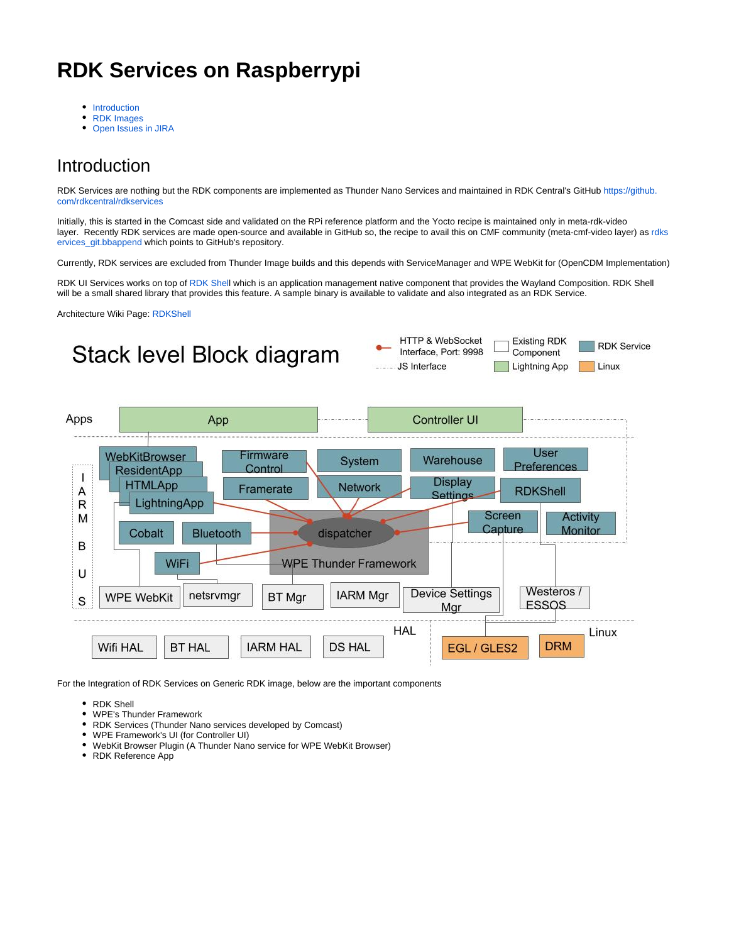## **RDK Services on Raspberrypi**

- [Introduction](#page-0-0)
- [RDK Images](#page-1-0)
- [Open Issues in JIRA](#page-2-0)  $\bullet$

#### <span id="page-0-0"></span>Introduction

RDK Services are nothing but the RDK components are implemented as Thunder Nano Services and maintained in RDK Central's GitHub [https://github.](https://github.com/rdkcentral/rdkservices) [com/rdkcentral/rdkservices](https://github.com/rdkcentral/rdkservices)

Initially, this is started in the Comcast side and validated on the RPi reference platform and the Yocto recipe is maintained only in meta-rdk-video layer. Recently RDK services are made open-source and available in GitHub so, the recipe to avail this on CMF community (meta-cmf-video layer) as [rdks](https://code.rdkcentral.com/r/plugins/gitiles/components/generic/rdk-oe/meta-cmf-video/+/refs/heads/rdk-next/recipes-extended/rdkservices/rdkservices_git.bbappend) [ervices\\_git.bbappend](https://code.rdkcentral.com/r/plugins/gitiles/components/generic/rdk-oe/meta-cmf-video/+/refs/heads/rdk-next/recipes-extended/rdkservices/rdkservices_git.bbappend) which points to GitHub's repository.

Currently, RDK services are excluded from Thunder Image builds and this depends with ServiceManager and WPE WebKit for (OpenCDM Implementation)

RDK UI Services works on top of [RDK Shel](https://wiki.rdkcentral.com/display/RDK/RDK+Shell)l which is an application management native component that provides the Wayland Composition. RDK Shell will be a small shared library that provides this feature. A sample binary is available to validate and also integrated as an RDK Service.

Architecture Wiki Page: [RDKShell](https://wiki.rdkcentral.com/display/RDK/RDKShell)



For the Integration of RDK Services on Generic RDK image, below are the important components

- RDK Shell
- WPE's Thunder Framework
- RDK Services (Thunder Nano services developed by Comcast)
- WPE Framework's UI (for Controller UI)
- WebKit Browser Plugin (A Thunder Nano service for WPE WebKit Browser)
- RDK Reference App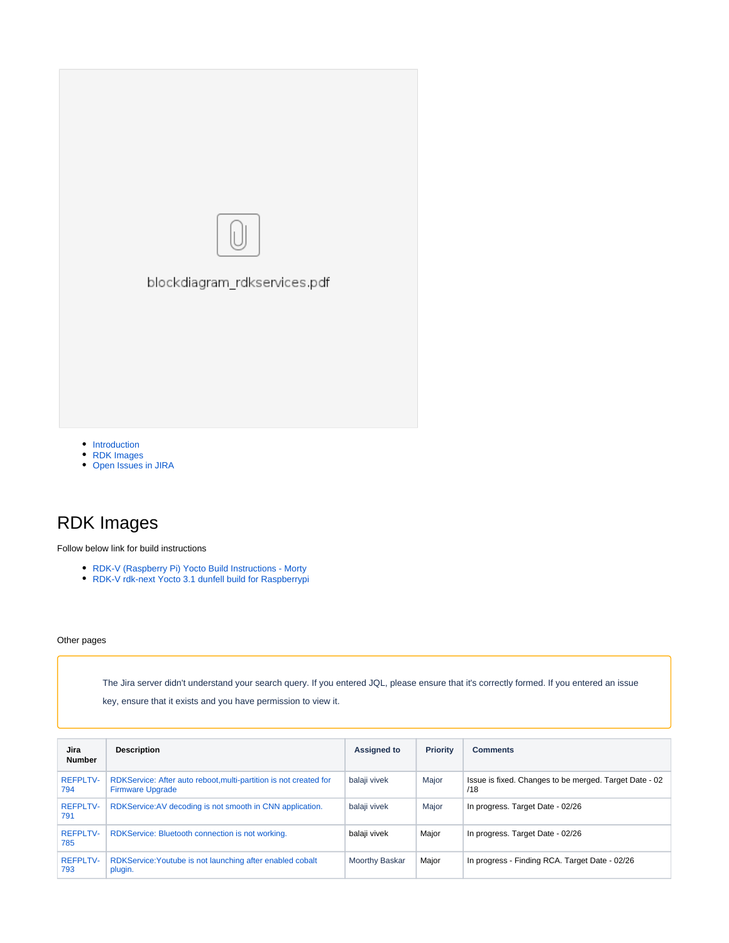

- [Introduction](#page-0-0)
- [RDK Images](#page-1-0)
- [Open Issues in JIRA](#page-2-0)

### <span id="page-1-0"></span>RDK Images

Follow below link for build instructions

- [RDK-V \(Raspberry Pi\) Yocto Build Instructions Morty](https://wiki.rdkcentral.com/display/RDK/RDK-V+%28Raspberry+Pi%29+Yocto+Build+Instructions+-+Morty)
- [RDK-V rdk-next Yocto 3.1 dunfell build for Raspberrypi](https://wiki.rdkcentral.com/display/RDK/RDK-V+rdk-next+Yocto+3.1+dunfell+build+for+Raspberrypi)

#### Other pages

The Jira server didn't understand your search query. If you entered JQL, please ensure that it's correctly formed. If you entered an issue

key, ensure that it exists and you have permission to view it.

| Jira<br><b>Number</b>  | <b>Description</b>                                                                           | <b>Assigned to</b> | <b>Priority</b> | <b>Comments</b>                                               |
|------------------------|----------------------------------------------------------------------------------------------|--------------------|-----------------|---------------------------------------------------------------|
| <b>REFPLTV-</b><br>794 | RDKService: After auto reboot, multi-partition is not created for<br><b>Firmware Upgrade</b> | balaji vivek       | Major           | Issue is fixed. Changes to be merged. Target Date - 02<br>/18 |
| <b>REFPLTV-</b><br>791 | RDKService: AV decoding is not smooth in CNN application.                                    | balaji vivek       | Major           | In progress. Target Date - 02/26                              |
| <b>REFPLTV-</b><br>785 | RDKService: Bluetooth connection is not working.                                             | balaji vivek       | Major           | In progress. Target Date - 02/26                              |
| <b>REFPLTV-</b><br>793 | RDKService: Youtube is not launching after enabled cobalt<br>plugin.                         | Moorthy Baskar     | Major           | In progress - Finding RCA. Target Date - 02/26                |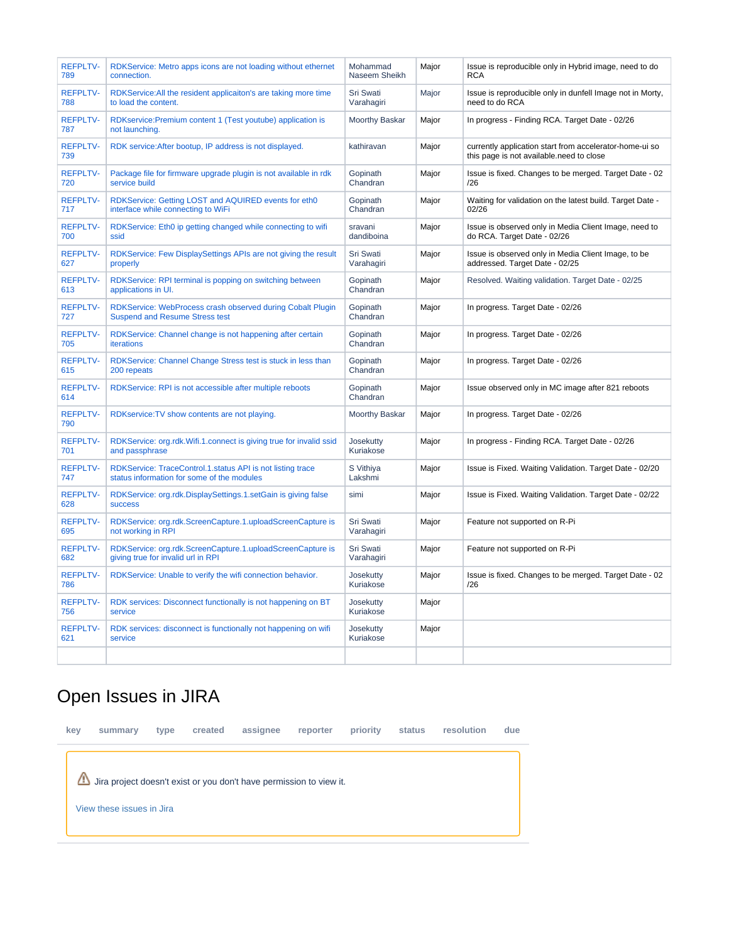| <b>REFPLTV-</b><br>789 | RDKService: Metro apps icons are not loading without ethernet<br>connection.                             | Mohammad<br>Naseem Sheikh | Major | Issue is reproducible only in Hybrid image, need to do<br><b>RCA</b>                                |  |
|------------------------|----------------------------------------------------------------------------------------------------------|---------------------------|-------|-----------------------------------------------------------------------------------------------------|--|
| <b>REFPLTV-</b><br>788 | RDKService: All the resident applicaiton's are taking more time<br>to load the content.                  | Sri Swati<br>Varahagiri   | Major | Issue is reproducible only in dunfell Image not in Morty,<br>need to do RCA                         |  |
| <b>REFPLTV-</b><br>787 | RDKservice: Premium content 1 (Test youtube) application is<br>not launching.                            | Moorthy Baskar            | Major | In progress - Finding RCA. Target Date - 02/26                                                      |  |
| <b>REFPLTV-</b><br>739 | RDK service: After bootup, IP address is not displayed.                                                  | kathiravan                | Major | currently application start from accelerator-home-ui so<br>this page is not available need to close |  |
| <b>REFPLTV-</b><br>720 | Package file for firmware upgrade plugin is not available in rdk<br>service build                        | Gopinath<br>Chandran      | Major | Issue is fixed. Changes to be merged. Target Date - 02<br>/26                                       |  |
| <b>REFPLTV-</b><br>717 | RDKService: Getting LOST and AQUIRED events for eth0<br>interface while connecting to WiFi               | Gopinath<br>Chandran      | Major | Waiting for validation on the latest build. Target Date -<br>02/26                                  |  |
| <b>REFPLTV-</b><br>700 | RDKService: Eth0 ip getting changed while connecting to wifi<br>ssid                                     | sravani<br>dandiboina     | Major | Issue is observed only in Media Client Image, need to<br>do RCA. Target Date - 02/26                |  |
| <b>REFPLTV-</b><br>627 | RDKService: Few DisplaySettings APIs are not giving the result<br>properly                               | Sri Swati<br>Varahagiri   | Major | Issue is observed only in Media Client Image, to be<br>addressed. Target Date - 02/25               |  |
| <b>REFPLTV-</b><br>613 | RDKService: RPI terminal is popping on switching between<br>applications in UI.                          | Gopinath<br>Chandran      | Major | Resolved. Waiting validation. Target Date - 02/25                                                   |  |
| <b>REFPLTV-</b><br>727 | RDKService: WebProcess crash observed during Cobalt Plugin<br><b>Suspend and Resume Stress test</b>      | Gopinath<br>Chandran      | Major | In progress. Target Date - 02/26                                                                    |  |
| <b>REFPLTV-</b><br>705 | RDKService: Channel change is not happening after certain<br><b>iterations</b>                           | Gopinath<br>Chandran      | Major | In progress. Target Date - 02/26                                                                    |  |
| <b>REFPLTV-</b><br>615 | RDKService: Channel Change Stress test is stuck in less than<br>200 repeats                              | Gopinath<br>Chandran      | Major | In progress. Target Date - 02/26                                                                    |  |
| <b>REFPLTV-</b><br>614 | RDKService: RPI is not accessible after multiple reboots                                                 | Gopinath<br>Chandran      | Major | Issue observed only in MC image after 821 reboots                                                   |  |
| <b>REFPLTV-</b><br>790 | RDKservice: TV show contents are not playing.                                                            | <b>Moorthy Baskar</b>     | Major | In progress. Target Date - 02/26                                                                    |  |
| <b>REFPLTV-</b><br>701 | RDKService: org.rdk.Wifi.1.connect is giving true for invalid ssid<br>and passphrase                     | Josekutty<br>Kuriakose    | Major | In progress - Finding RCA. Target Date - 02/26                                                      |  |
| <b>REFPLTV-</b><br>747 | RDKService: TraceControl.1.status API is not listing trace<br>status information for some of the modules | S Vithiya<br>Lakshmi      | Major | Issue is Fixed. Waiting Validation. Target Date - 02/20                                             |  |
| <b>REFPLTV-</b><br>628 | RDKService: org.rdk.DisplaySettings.1.setGain is giving false<br><b>SUCCESS</b>                          | simi                      | Major | Issue is Fixed. Waiting Validation. Target Date - 02/22                                             |  |
| <b>REFPLTV-</b><br>695 | RDKService: org.rdk.ScreenCapture.1.uploadScreenCapture is<br>not working in RPI                         | Sri Swati<br>Varahagiri   | Major | Feature not supported on R-Pi                                                                       |  |
| <b>REFPLTV-</b><br>682 | RDKService: org.rdk.ScreenCapture.1.uploadScreenCapture is<br>giving true for invalid url in RPI         | Sri Swati<br>Varahagiri   | Major | Feature not supported on R-Pi                                                                       |  |
| <b>REFPLTV-</b><br>786 | RDKService: Unable to verify the wifi connection behavior.                                               | Josekutty<br>Kuriakose    | Major | Issue is fixed. Changes to be merged. Target Date - 02<br>/26                                       |  |
| <b>REFPLTV-</b><br>756 | RDK services: Disconnect functionally is not happening on BT<br>service                                  | Josekutty<br>Kuriakose    | Major |                                                                                                     |  |
| <b>REFPLTV-</b><br>621 | RDK services: disconnect is functionally not happening on wifi<br>service                                | Josekutty<br>Kuriakose    | Major |                                                                                                     |  |
|                        |                                                                                                          |                           |       |                                                                                                     |  |

# <span id="page-2-0"></span>Open Issues in JIRA

**key summary type created assignee reporter priority status resolution due** Jira project doesn't exist or you don't have permission to view it. [View these issues in Jira](https://jira.rdkcentral.com/jira/secure/IssueNavigator.jspa?reset=true&jqlQuery=project+%3D+REFPLTV+AND+targets%3DR-Pi+AND+labels+in+%28_rdk_services_validation%2C+_tdk_rdkservice_validation%29+AND+Resolution+%3D+Unresolved+AND+Status+%21%3D+%22Waiting+Customer+Reply%22+order+by+created+DESC+++++&src=confmacro)